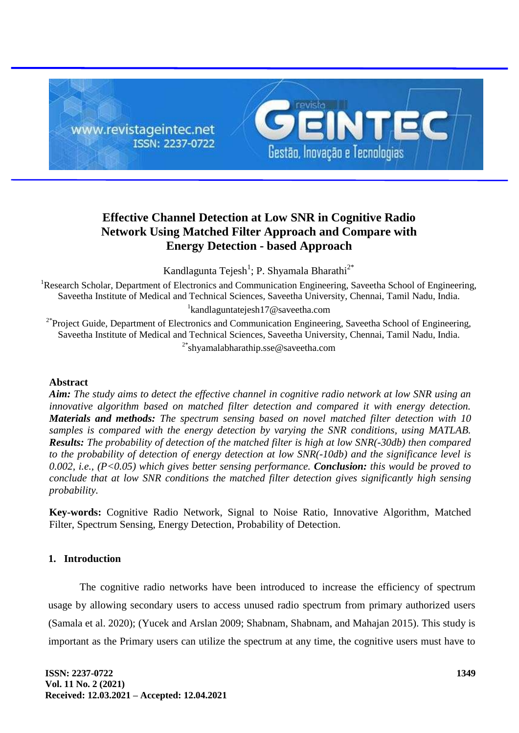

# **Effective Channel Detection at Low SNR in Cognitive Radio Network Using Matched Filter Approach and Compare with Energy Detection - based Approach**

Kandlagunta Tejesh<sup>1</sup>; P. Shyamala Bharathi<sup>2\*</sup>

<sup>1</sup>Research Scholar, Department of Electronics and Communication Engineering, Saveetha School of Engineering, Saveetha Institute of Medical and Technical Sciences, Saveetha University, Chennai, Tamil Nadu, India. 1 kandlaguntatejesh17@saveetha.com

<sup>2\*</sup>Project Guide, Department of Electronics and Communication Engineering, Saveetha School of Engineering, Saveetha Institute of Medical and Technical Sciences, Saveetha University, Chennai, Tamil Nadu, India. 2\*shyamalabharathip.sse@saveetha.com

# **Abstract**

*Aim: The study aims to detect the effective channel in cognitive radio network at low SNR using an innovative algorithm based on matched filter detection and compared it with energy detection. Materials and methods: The spectrum sensing based on novel matched filter detection with 10 samples is compared with the energy detection by varying the SNR conditions, using MATLAB. Results: The probability of detection of the matched filter is high at low SNR(-30db) then compared to the probability of detection of energy detection at low SNR(-10db) and the significance level is 0.002, i.e., (P<0.05) which gives better sensing performance. Conclusion: this would be proved to conclude that at low SNR conditions the matched filter detection gives significantly high sensing probability.*

**Key-words:** Cognitive Radio Network, Signal to Noise Ratio, Innovative Algorithm, Matched Filter, Spectrum Sensing, Energy Detection, Probability of Detection.

# **1. Introduction**

The cognitive radio networks have been introduced to increase the efficiency of spectrum usage by allowing secondary users to access unused radio spectrum from primary authorized users (Samala et al. 2020); (Yucek and Arslan 2009; Shabnam, Shabnam, and Mahajan 2015). This study is important as the Primary users can utilize the spectrum at any time, the cognitive users must have to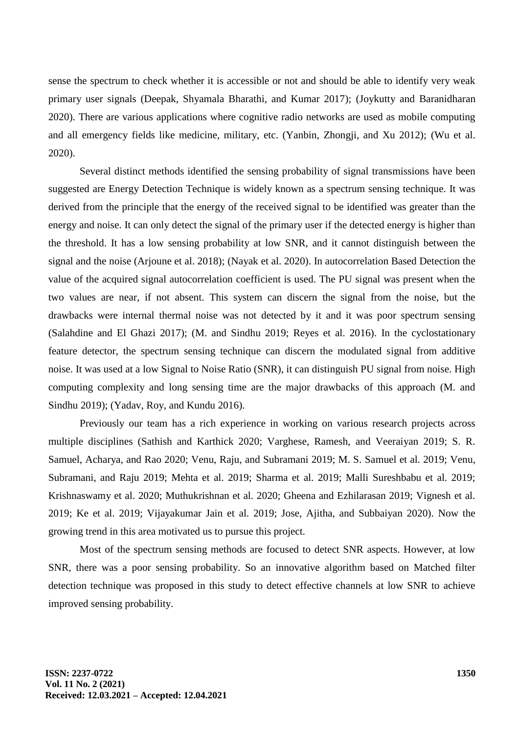sense the spectrum to check whether it is accessible or not and should be able to identify very weak primary user signals (Deepak, Shyamala Bharathi, and Kumar 2017); (Joykutty and Baranidharan 2020). There are various applications where cognitive radio networks are used as mobile computing and all emergency fields like medicine, military, etc. (Yanbin, Zhongji, and Xu 2012); (Wu et al. 2020).

Several distinct methods identified the sensing probability of signal transmissions have been suggested are Energy Detection Technique is widely known as a spectrum sensing technique. It was derived from the principle that the energy of the received signal to be identified was greater than the energy and noise. It can only detect the signal of the primary user if the detected energy is higher than the threshold. It has a low sensing probability at low SNR, and it cannot distinguish between the signal and the noise (Arjoune et al. 2018); (Nayak et al. 2020). In autocorrelation Based Detection the value of the acquired signal autocorrelation coefficient is used. The PU signal was present when the two values are near, if not absent. This system can discern the signal from the noise, but the drawbacks were internal thermal noise was not detected by it and it was poor spectrum sensing (Salahdine and El Ghazi 2017); (M. and Sindhu 2019; Reyes et al. 2016). In the cyclostationary feature detector, the spectrum sensing technique can discern the modulated signal from additive noise. It was used at a low Signal to Noise Ratio (SNR), it can distinguish PU signal from noise. High computing complexity and long sensing time are the major drawbacks of this approach (M. and Sindhu 2019); (Yadav, Roy, and Kundu 2016).

Previously our team has a rich experience in working on various research projects across multiple disciplines (Sathish and Karthick 2020; Varghese, Ramesh, and Veeraiyan 2019; S. R. Samuel, Acharya, and Rao 2020; Venu, Raju, and Subramani 2019; M. S. Samuel et al. 2019; Venu, Subramani, and Raju 2019; Mehta et al. 2019; Sharma et al. 2019; Malli Sureshbabu et al. 2019; Krishnaswamy et al. 2020; Muthukrishnan et al. 2020; Gheena and Ezhilarasan 2019; Vignesh et al. 2019; Ke et al. 2019; Vijayakumar Jain et al. 2019; Jose, Ajitha, and Subbaiyan 2020). Now the growing trend in this area motivated us to pursue this project.

Most of the spectrum sensing methods are focused to detect SNR aspects. However, at low SNR, there was a poor sensing probability. So an innovative algorithm based on Matched filter detection technique was proposed in this study to detect effective channels at low SNR to achieve improved sensing probability.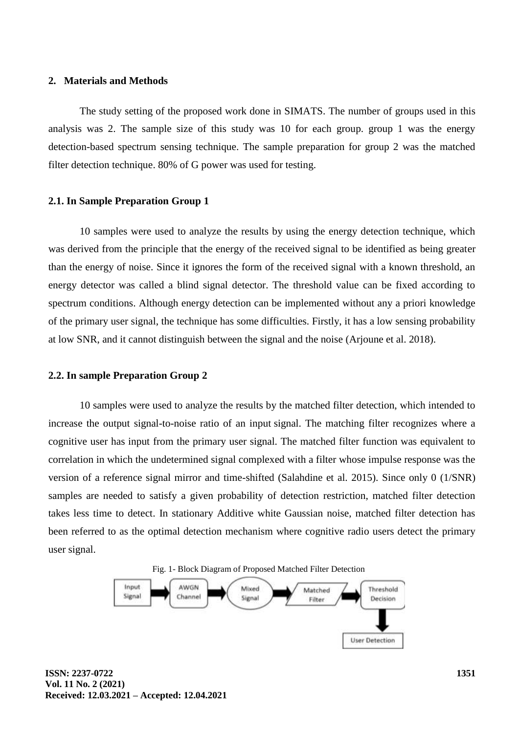# **2. Materials and Methods**

The study setting of the proposed work done in SIMATS. The number of groups used in this analysis was 2. The sample size of this study was 10 for each group. group 1 was the energy detection-based spectrum sensing technique. The sample preparation for group 2 was the matched filter detection technique. 80% of G power was used for testing.

#### **2.1. In Sample Preparation Group 1**

10 samples were used to analyze the results by using the energy detection technique, which was derived from the principle that the energy of the received signal to be identified as being greater than the energy of noise. Since it ignores the form of the received signal with a known threshold, an energy detector was called a blind signal detector. The threshold value can be fixed according to spectrum conditions. Although energy detection can be implemented without any a priori knowledge of the primary user signal, the technique has some difficulties. Firstly, it has a low sensing probability at low SNR, and it cannot distinguish between the signal and the noise (Arjoune et al. 2018).

#### **2.2. In sample Preparation Group 2**

10 samples were used to analyze the results by the matched filter detection, which intended to increase the output signal-to-noise ratio of an input signal. The matching filter recognizes where a cognitive user has input from the primary user signal. The matched filter function was equivalent to correlation in which the undetermined signal complexed with a filter whose impulse response was the version of a reference signal mirror and time-shifted (Salahdine et al. 2015). Since only 0 (1/SNR) samples are needed to satisfy a given probability of detection restriction, matched filter detection takes less time to detect. In stationary Additive white Gaussian noise, matched filter detection has been referred to as the optimal detection mechanism where cognitive radio users detect the primary user signal.



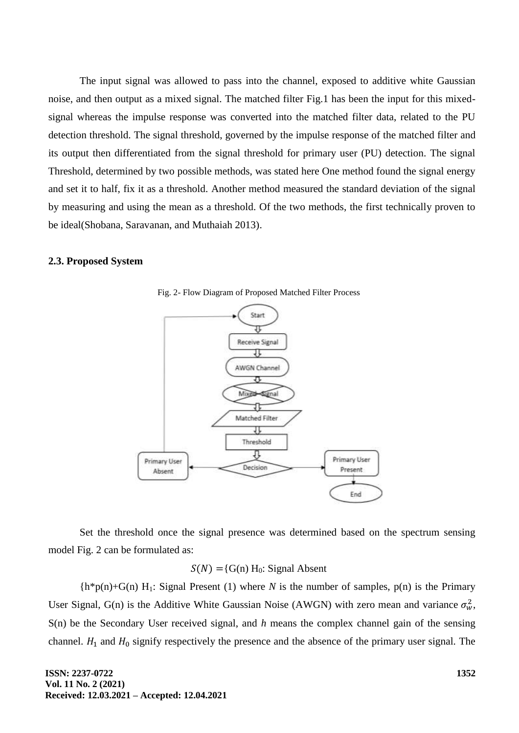The input signal was allowed to pass into the channel, exposed to additive white Gaussian noise, and then output as a mixed signal. The matched filter Fig.1 has been the input for this mixedsignal whereas the impulse response was converted into the matched filter data, related to the PU detection threshold. The signal threshold, governed by the impulse response of the matched filter and its output then differentiated from the signal threshold for primary user (PU) detection. The signal Threshold, determined by two possible methods, was stated here One method found the signal energy and set it to half, fix it as a threshold. Another method measured the standard deviation of the signal by measuring and using the mean as a threshold. Of the two methods, the first technically proven to be ideal(Shobana, Saravanan, and Muthaiah 2013).

#### **2.3. Proposed System**



Fig. 2- Flow Diagram of Proposed Matched Filter Process

Set the threshold once the signal presence was determined based on the spectrum sensing model Fig. 2 can be formulated as:

# $S(N) = {G(n) H_0: Signal Absent}$

 ${h*p(n)+G(n) H_1: Signal Present (1) where N is the number of samples, p(n) is the Primary}$ User Signal, G(n) is the Additive White Gaussian Noise (AWGN) with zero mean and variance  $\sigma_w^2$ , S(n) be the Secondary User received signal, and *h* means the complex channel gain of the sensing channel.  $H_1$  and  $H_0$  signify respectively the presence and the absence of the primary user signal. The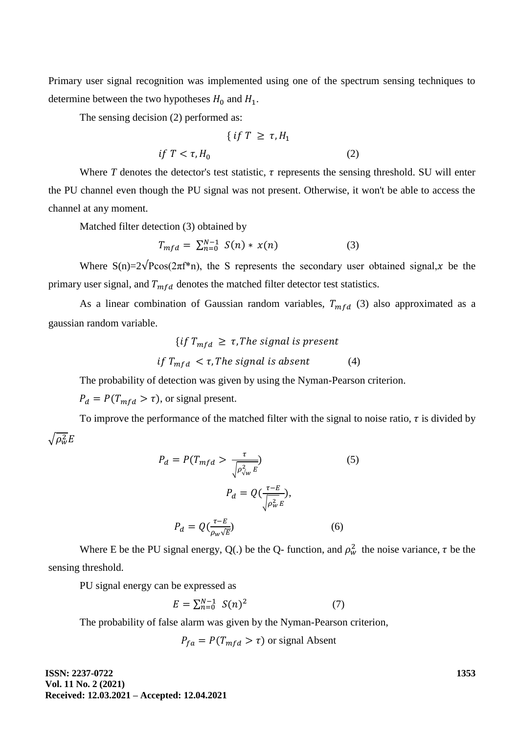Primary user signal recognition was implemented using one of the spectrum sensing techniques to determine between the two hypotheses  $H_0$  and  $H_1$ .

The sensing decision (2) performed as:

$$
\{ \text{ if } T \ge \tau, H_1
$$
  
if  $T < \tau, H_0$  (2)

Where  $T$  denotes the detector's test statistic,  $\tau$  represents the sensing threshold. SU will enter the PU channel even though the PU signal was not present. Otherwise, it won't be able to access the channel at any moment.

Matched filter detection (3) obtained by

$$
T_{mfd} = \sum_{n=0}^{N-1} S(n) * x(n)
$$
 (3)

Where  $S(n)=2\sqrt{P}\cos(2\pi f^*)$ , the S represents the secondary user obtained signal, *x* be the primary user signal, and  $T_{mfd}$  denotes the matched filter detector test statistics.

As a linear combination of Gaussian random variables,  $T_{mfd}$  (3) also approximated as a gaussian random variable.

{if 
$$
T_{mfd} \geq \tau
$$
, The signal is present  
if  $T_{mfd} < \tau$ , The signal is absent\t(4)

The probability of detection was given by using the Nyman-Pearson criterion.

 $P_d = P(T_{mfd} > \tau)$ , or signal present.

To improve the performance of the matched filter with the signal to noise ratio,  $\tau$  is divided by  $\sqrt{\rho_{\rm w}^2}$ 

$$
P_d = P(T_{mfd} > \frac{\tau}{\sqrt{\rho_{\sqrt{w}}^2 E}})
$$
(5)  

$$
P_d = Q(\frac{\tau - E}{\sqrt{\rho_w^2 E}}),
$$
  

$$
P_d = Q(\frac{\tau - E}{\rho_w \sqrt{E}})
$$
(6)

Where E be the PU signal energy, Q(.) be the Q- function, and  $\rho_w^2$  the noise variance,  $\tau$  be the sensing threshold.

PU signal energy can be expressed as

$$
E = \sum_{n=0}^{N-1} S(n)^2
$$
 (7)

The probability of false alarm was given by the Nyman-Pearson criterion,

$$
P_{fa} = P(T_{mfd} > \tau)
$$
 or signal Absent

**ISSN: 2237-0722 Vol. 11 No. 2 (2021) Received: 12.03.2021 – Accepted: 12.04.2021** **1353**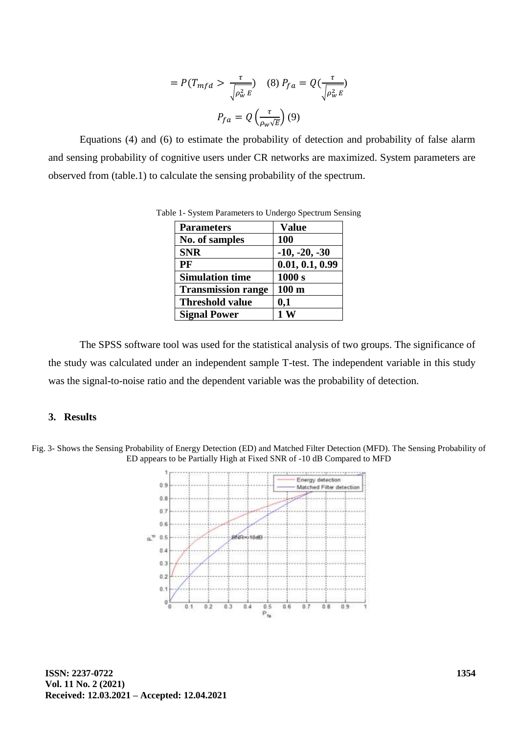$$
= P(T_{mfd} > \frac{\tau}{\sqrt{\rho_w^2 E}}) \quad (8) \ P_{fa} = Q\left(\frac{\tau}{\sqrt{\rho_w^2 E}}\right)
$$

$$
P_{fa} = Q\left(\frac{\tau}{\rho_w \sqrt{E}}\right) (9)
$$

Equations (4) and (6) to estimate the probability of detection and probability of false alarm and sensing probability of cognitive users under CR networks are maximized. System parameters are observed from (table.1) to calculate the sensing probability of the spectrum.

| <b>Parameters</b>         | <b>Value</b>     |
|---------------------------|------------------|
| No. of samples            | 100              |
| <b>SNR</b>                | $-10, -20, -30$  |
| PF                        | 0.01, 0.1, 0.99  |
| <b>Simulation time</b>    | 1000 s           |
| <b>Transmission range</b> | 100 <sub>m</sub> |
| <b>Threshold value</b>    | 0,1              |
| <b>Signal Power</b>       | 1W               |

Table 1- System Parameters to Undergo Spectrum Sensing

The SPSS software tool was used for the statistical analysis of two groups. The significance of the study was calculated under an independent sample T-test. The independent variable in this study was the signal-to-noise ratio and the dependent variable was the probability of detection.

## **3. Results**

Fig. 3- Shows the Sensing Probability of Energy Detection (ED) and Matched Filter Detection (MFD). The Sensing Probability of ED appears to be Partially High at Fixed SNR of -10 dB Compared to MFD

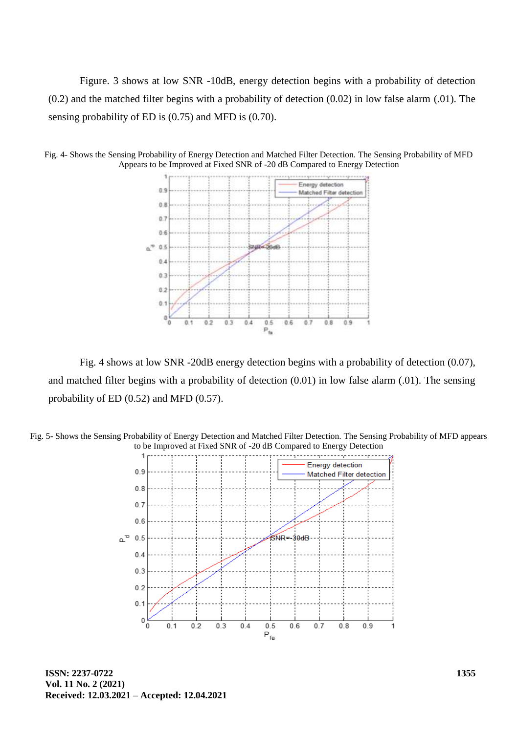Figure. 3 shows at low SNR -10dB, energy detection begins with a probability of detection (0.2) and the matched filter begins with a probability of detection (0.02) in low false alarm (.01). The sensing probability of ED is (0.75) and MFD is (0.70).



Fig. 4- Shows the Sensing Probability of Energy Detection and Matched Filter Detection. The Sensing Probability of MFD Appears to be Improved at Fixed SNR of -20 dB Compared to Energy Detection

Fig. 4 shows at low SNR -20dB energy detection begins with a probability of detection (0.07), and matched filter begins with a probability of detection (0.01) in low false alarm (.01). The sensing probability of ED (0.52) and MFD (0.57).





**ISSN: 2237-0722 Vol. 11 No. 2 (2021) Received: 12.03.2021 – Accepted: 12.04.2021**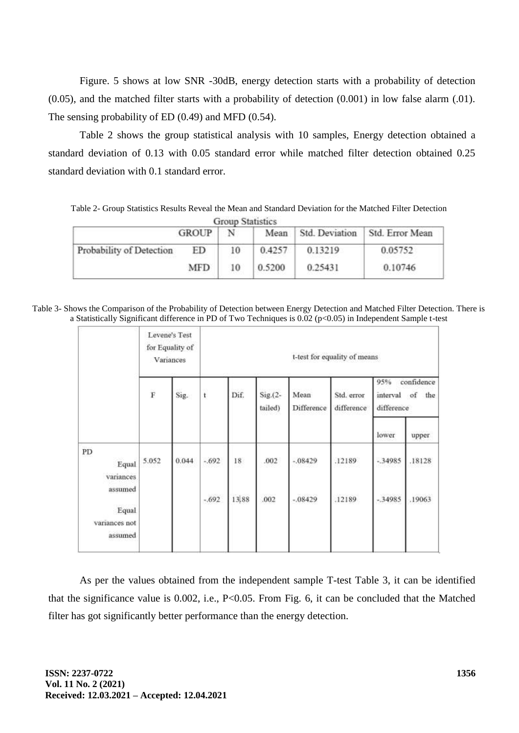Figure. 5 shows at low SNR -30dB, energy detection starts with a probability of detection (0.05), and the matched filter starts with a probability of detection (0.001) in low false alarm (.01). The sensing probability of ED (0.49) and MFD (0.54).

Table 2 shows the group statistical analysis with 10 samples, Energy detection obtained a standard deviation of 0.13 with 0.05 standard error while matched filter detection obtained 0.25 standard deviation with 0.1 standard error.

Table 2- Group Statistics Results Reveal the Mean and Standard Deviation for the Matched Filter Detection **Group Statistics** 

|                          | <b>GROUP</b> | N  | Mean   | Std. Deviation | Std. Error Mean |
|--------------------------|--------------|----|--------|----------------|-----------------|
| Probability of Detection | ED           | 10 | 0.4257 | 0.13219        | 0.05752         |
|                          | MFD          | 10 | 0.5200 | 0.25431        | 0.10746         |

Table 3- Shows the Comparison of the Probability of Detection between Energy Detection and Matched Filter Detection. There is a Statistically Significant difference in PD of Two Techniques is 0.02 (p<0.05) in Independent Sample t-test

|                                              | Levene's Test<br>for Equality of<br>Variances |       | t-test for equality of means |       |                      |                    |                          |                                                    |        |  |
|----------------------------------------------|-----------------------------------------------|-------|------------------------------|-------|----------------------|--------------------|--------------------------|----------------------------------------------------|--------|--|
|                                              | $\dot{F}$<br>Sig.                             |       | $^{\rm t}$                   | Dif.  | $Sig(2 -$<br>tailed) | Mean<br>Difference | Std. error<br>difference | 95%<br>confidence<br>interval of the<br>difference |        |  |
|                                              |                                               |       |                              |       |                      |                    |                          | lower                                              | upper  |  |
| PD<br>Equal<br>variances                     | 5.052                                         | 0.044 | $-.692$                      | 18    | .002                 | $-.08429$          | .12189                   | $-.34985$                                          | .18128 |  |
| assumed<br>Equal<br>variances not<br>assumed |                                               |       | $-.692$                      | 13,88 | .002                 | $-.08429$          | .12189                   | $-34985$                                           | .19063 |  |

As per the values obtained from the independent sample T-test Table 3, it can be identified that the significance value is 0.002, i.e., P<0.05. From Fig. 6, it can be concluded that the Matched filter has got significantly better performance than the energy detection.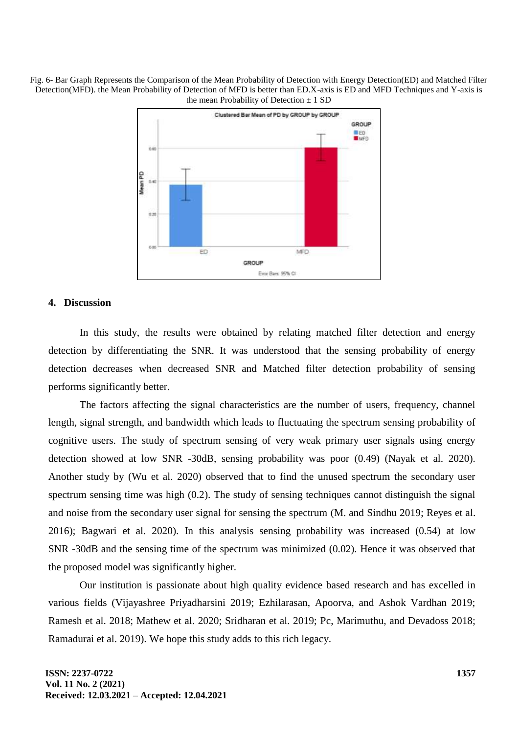Fig. 6- Bar Graph Represents the Comparison of the Mean Probability of Detection with Energy Detection(ED) and Matched Filter Detection(MFD). the Mean Probability of Detection of MFD is better than ED.X-axis is ED and MFD Techniques and Y-axis is the mean Probability of Detection  $\pm$  1 SD



## **4. Discussion**

In this study, the results were obtained by relating matched filter detection and energy detection by differentiating the SNR. It was understood that the sensing probability of energy detection decreases when decreased SNR and Matched filter detection probability of sensing performs significantly better.

The factors affecting the signal characteristics are the number of users, frequency, channel length, signal strength, and bandwidth which leads to fluctuating the spectrum sensing probability of cognitive users. The study of spectrum sensing of very weak primary user signals using energy detection showed at low SNR -30dB, sensing probability was poor (0.49) (Nayak et al. 2020). Another study by (Wu et al. 2020) observed that to find the unused spectrum the secondary user spectrum sensing time was high (0.2). The study of sensing techniques cannot distinguish the signal and noise from the secondary user signal for sensing the spectrum (M. and Sindhu 2019; Reyes et al. 2016); Bagwari et al. 2020). In this analysis sensing probability was increased (0.54) at low SNR -30dB and the sensing time of the spectrum was minimized (0.02). Hence it was observed that the proposed model was significantly higher.

Our institution is passionate about high quality evidence based research and has excelled in various fields (Vijayashree Priyadharsini 2019; Ezhilarasan, Apoorva, and Ashok Vardhan 2019; Ramesh et al. 2018; Mathew et al. 2020; Sridharan et al. 2019; Pc, Marimuthu, and Devadoss 2018; Ramadurai et al. 2019). We hope this study adds to this rich legacy.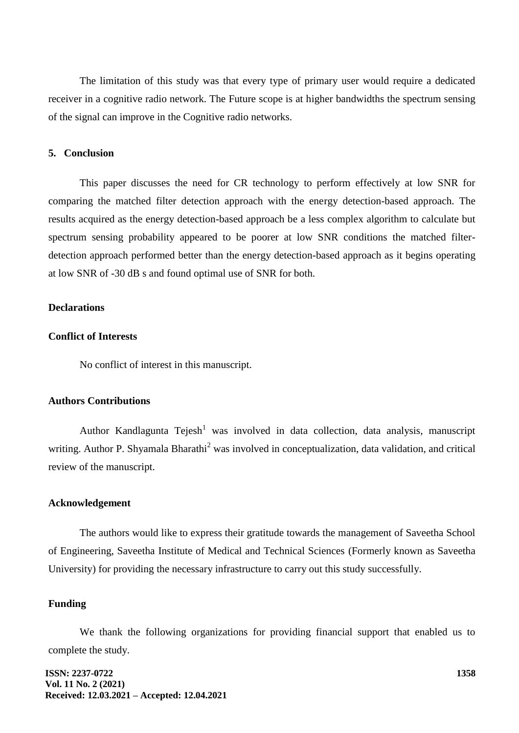The limitation of this study was that every type of primary user would require a dedicated receiver in a cognitive radio network. The Future scope is at higher bandwidths the spectrum sensing of the signal can improve in the Cognitive radio networks.

#### **5. Conclusion**

This paper discusses the need for CR technology to perform effectively at low SNR for comparing the matched filter detection approach with the energy detection-based approach. The results acquired as the energy detection-based approach be a less complex algorithm to calculate but spectrum sensing probability appeared to be poorer at low SNR conditions the matched filterdetection approach performed better than the energy detection-based approach as it begins operating at low SNR of -30 dB s and found optimal use of SNR for both.

#### **Declarations**

# **Conflict of Interests**

No conflict of interest in this manuscript.

## **Authors Contributions**

Author Kandlagunta  $Tejesh<sup>1</sup>$  was involved in data collection, data analysis, manuscript writing. Author P. Shyamala Bharathi<sup>2</sup> was involved in conceptualization, data validation, and critical review of the manuscript.

### **Acknowledgement**

The authors would like to express their gratitude towards the management of Saveetha School of Engineering, Saveetha Institute of Medical and Technical Sciences (Formerly known as Saveetha University) for providing the necessary infrastructure to carry out this study successfully.

### **Funding**

We thank the following organizations for providing financial support that enabled us to complete the study.

**ISSN: 2237-0722 Vol. 11 No. 2 (2021) Received: 12.03.2021 – Accepted: 12.04.2021**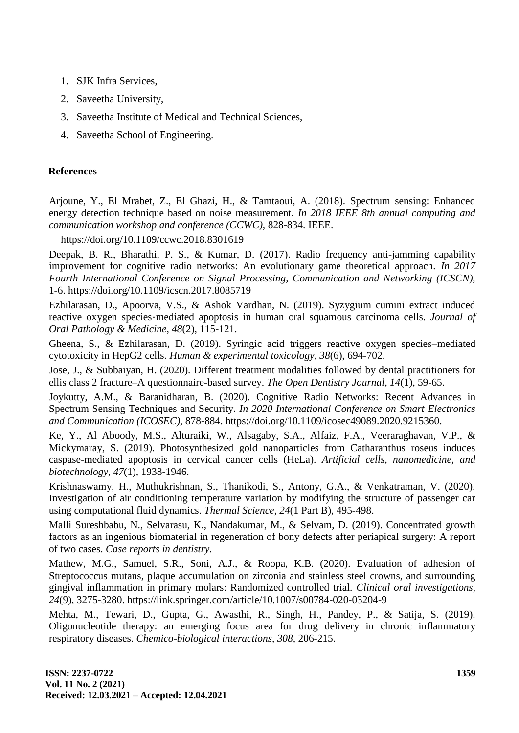- 1. SJK Infra Services,
- 2. Saveetha University,
- 3. Saveetha Institute of Medical and Technical Sciences,
- 4. Saveetha School of Engineering.

# **References**

Arjoune, Y., El Mrabet, Z., El Ghazi, H., & Tamtaoui, A. (2018). Spectrum sensing: Enhanced energy detection technique based on noise measurement. *In 2018 IEEE 8th annual computing and communication workshop and conference (CCWC),* 828-834. IEEE.

https://doi.org/10.1109/ccwc.2018.8301619

Deepak, B. R., Bharathi, P. S., & Kumar, D. (2017). Radio frequency anti-jamming capability improvement for cognitive radio networks: An evolutionary game theoretical approach. *In 2017 Fourth International Conference on Signal Processing, Communication and Networking (ICSCN),* 1-6. https://doi.org/10.1109/icscn.2017.8085719

Ezhilarasan, D., Apoorva, V.S., & Ashok Vardhan, N. (2019). Syzygium cumini extract induced reactive oxygen species‐mediated apoptosis in human oral squamous carcinoma cells. *Journal of Oral Pathology & Medicine, 48*(2), 115-121.

Gheena, S., & Ezhilarasan, D. (2019). Syringic acid triggers reactive oxygen species–mediated cytotoxicity in HepG2 cells. *Human & experimental toxicology, 38*(6), 694-702.

Jose, J., & Subbaiyan, H. (2020). Different treatment modalities followed by dental practitioners for ellis class 2 fracture–A questionnaire-based survey. *The Open Dentistry Journal, 14*(1), 59-65.

Joykutty, A.M., & Baranidharan, B. (2020). Cognitive Radio Networks: Recent Advances in Spectrum Sensing Techniques and Security. *In 2020 International Conference on Smart Electronics and Communication (ICOSEC),* 878-884. https://doi.org/10.1109/icosec49089.2020.9215360.

Ke, Y., Al Aboody, M.S., Alturaiki, W., Alsagaby, S.A., Alfaiz, F.A., Veeraraghavan, V.P., & Mickymaray, S. (2019). Photosynthesized gold nanoparticles from Catharanthus roseus induces caspase-mediated apoptosis in cervical cancer cells (HeLa). *Artificial cells, nanomedicine, and biotechnology, 47*(1), 1938-1946.

Krishnaswamy, H., Muthukrishnan, S., Thanikodi, S., Antony, G.A., & Venkatraman, V. (2020). Investigation of air conditioning temperature variation by modifying the structure of passenger car using computational fluid dynamics. *Thermal Science, 24*(1 Part B), 495-498.

Malli Sureshbabu, N., Selvarasu, K., Nandakumar, M., & Selvam, D. (2019). Concentrated growth factors as an ingenious biomaterial in regeneration of bony defects after periapical surgery: A report of two cases. *Case reports in dentistry.*

Mathew, M.G., Samuel, S.R., Soni, A.J., & Roopa, K.B. (2020). Evaluation of adhesion of Streptococcus mutans, plaque accumulation on zirconia and stainless steel crowns, and surrounding gingival inflammation in primary molars: Randomized controlled trial. *Clinical oral investigations, 24*(9), 3275-3280. https://link.springer.com/article/10.1007/s00784-020-03204-9

Mehta, M., Tewari, D., Gupta, G., Awasthi, R., Singh, H., Pandey, P., & Satija, S. (2019). Oligonucleotide therapy: an emerging focus area for drug delivery in chronic inflammatory respiratory diseases. *Chemico-biological interactions, 308,* 206-215.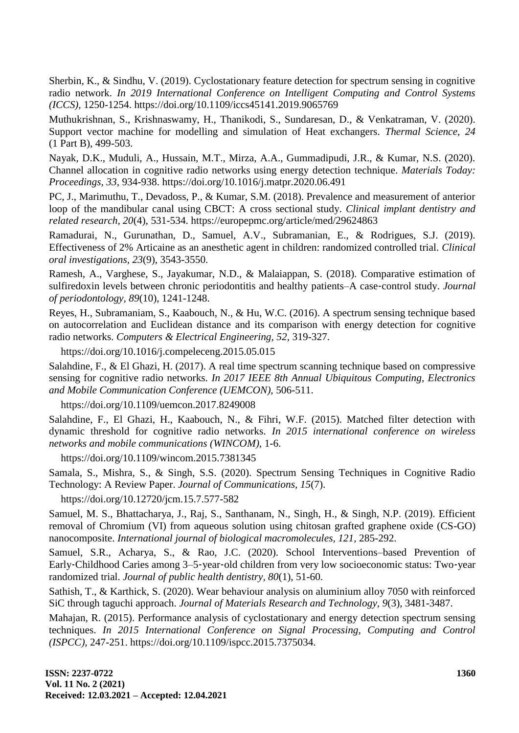Sherbin, K., & Sindhu, V. (2019). Cyclostationary feature detection for spectrum sensing in cognitive radio network. *In 2019 International Conference on Intelligent Computing and Control Systems (ICCS),* 1250-1254. https://doi.org/10.1109/iccs45141.2019.9065769

Muthukrishnan, S., Krishnaswamy, H., Thanikodi, S., Sundaresan, D., & Venkatraman, V. (2020). Support vector machine for modelling and simulation of Heat exchangers. *Thermal Science, 24*  (1 Part B), 499-503.

Nayak, D.K., Muduli, A., Hussain, M.T., Mirza, A.A., Gummadipudi, J.R., & Kumar, N.S. (2020). Channel allocation in cognitive radio networks using energy detection technique. *Materials Today: Proceedings, 33,* 934-938. https://doi.org/10.1016/j.matpr.2020.06.491

PC, J., Marimuthu, T., Devadoss, P., & Kumar, S.M. (2018). Prevalence and measurement of anterior loop of the mandibular canal using CBCT: A cross sectional study. *Clinical implant dentistry and related research, 20*(4), 531-534. https://europepmc.org/article/med/29624863

Ramadurai, N., Gurunathan, D., Samuel, A.V., Subramanian, E., & Rodrigues, S.J. (2019). Effectiveness of 2% Articaine as an anesthetic agent in children: randomized controlled trial. *Clinical oral investigations, 23*(9), 3543-3550.

Ramesh, A., Varghese, S., Jayakumar, N.D., & Malaiappan, S. (2018). Comparative estimation of sulfiredoxin levels between chronic periodontitis and healthy patients–A case-control study. *Journal of periodontology, 89*(10), 1241-1248.

Reyes, H., Subramaniam, S., Kaabouch, N., & Hu, W.C. (2016). A spectrum sensing technique based on autocorrelation and Euclidean distance and its comparison with energy detection for cognitive radio networks. *Computers & Electrical Engineering, 52,* 319-327.

https://doi.org/10.1016/j.compeleceng.2015.05.015

Salahdine, F., & El Ghazi, H. (2017). A real time spectrum scanning technique based on compressive sensing for cognitive radio networks. *In 2017 IEEE 8th Annual Ubiquitous Computing, Electronics and Mobile Communication Conference (UEMCON),* 506-511.

https://doi.org/10.1109/uemcon.2017.8249008

Salahdine, F., El Ghazi, H., Kaabouch, N., & Fihri, W.F. (2015). Matched filter detection with dynamic threshold for cognitive radio networks. *In 2015 international conference on wireless networks and mobile communications (WINCOM),* 1-6.

https://doi.org/10.1109/wincom.2015.7381345

Samala, S., Mishra, S., & Singh, S.S. (2020). Spectrum Sensing Techniques in Cognitive Radio Technology: A Review Paper. *Journal of Communications, 15*(7).

https://doi.org/10.12720/jcm.15.7.577-582

Samuel, M. S., Bhattacharya, J., Raj, S., Santhanam, N., Singh, H., & Singh, N.P. (2019). Efficient removal of Chromium (VI) from aqueous solution using chitosan grafted graphene oxide (CS-GO) nanocomposite. *International journal of biological macromolecules, 121,* 285-292.

Samuel, S.R., Acharya, S., & Rao, J.C. (2020). School Interventions–based Prevention of Early‐Childhood Caries among 3–5‐year‐old children from very low socioeconomic status: Two‐year randomized trial. *Journal of public health dentistry, 80*(1), 51-60.

Sathish, T., & Karthick, S. (2020). Wear behaviour analysis on aluminium alloy 7050 with reinforced SiC through taguchi approach. *Journal of Materials Research and Technology, 9*(3), 3481-3487.

Mahajan, R. (2015). Performance analysis of cyclostationary and energy detection spectrum sensing techniques. *In 2015 International Conference on Signal Processing, Computing and Control (ISPCC),* 247-251. https://doi.org/10.1109/ispcc.2015.7375034.